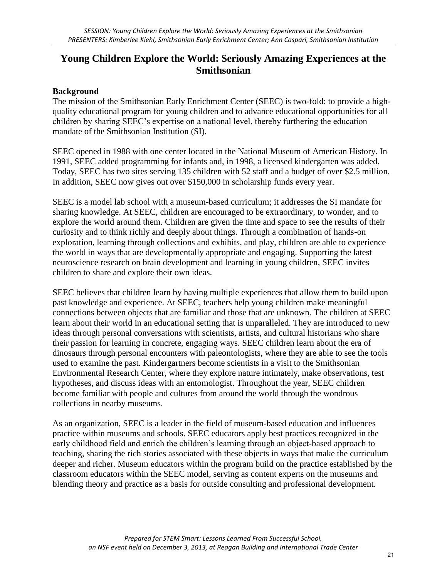## **Young Children Explore the World: Seriously Amazing Experiences at the Smithsonian**

## **Background**

The mission of the Smithsonian Early Enrichment Center (SEEC) is two-fold: to provide a highquality educational program for young children and to advance educational opportunities for all children by sharing SEEC's expertise on a national level, thereby furthering the education mandate of the Smithsonian Institution (SI).

SEEC opened in 1988 with one center located in the National Museum of American History. In 1991, SEEC added programming for infants and, in 1998, a licensed kindergarten was added. Today, SEEC has two sites serving 135 children with 52 staff and a budget of over \$2.5 million. In addition, SEEC now gives out over \$150,000 in scholarship funds every year.

SEEC is a model lab school with a museum-based curriculum; it addresses the SI mandate for sharing knowledge. At SEEC, children are encouraged to be extraordinary, to wonder, and to explore the world around them. Children are given the time and space to see the results of their curiosity and to think richly and deeply about things. Through a combination of hands-on exploration, learning through collections and exhibits, and play, children are able to experience the world in ways that are developmentally appropriate and engaging. Supporting the latest neuroscience research on brain development and learning in young children, SEEC invites children to share and explore their own ideas.

SEEC believes that children learn by having multiple experiences that allow them to build upon past knowledge and experience. At SEEC, teachers help young children make meaningful connections between objects that are familiar and those that are unknown. The children at SEEC learn about their world in an educational setting that is unparalleled. They are introduced to new ideas through personal conversations with scientists, artists, and cultural historians who share their passion for learning in concrete, engaging ways. SEEC children learn about the era of dinosaurs through personal encounters with paleontologists, where they are able to see the tools used to examine the past. Kindergartners become scientists in a visit to the Smithsonian Environmental Research Center, where they explore nature intimately, make observations, test hypotheses, and discuss ideas with an entomologist. Throughout the year, SEEC children become familiar with people and cultures from around the world through the wondrous collections in nearby museums.

As an organization, SEEC is a leader in the field of museum-based education and influences practice within museums and schools. SEEC educators apply best practices recognized in the early childhood field and enrich the children's learning through an object-based approach to teaching, sharing the rich stories associated with these objects in ways that make the curriculum deeper and richer. Museum educators within the program build on the practice established by the classroom educators within the SEEC model, serving as content experts on the museums and blending theory and practice as a basis for outside consulting and professional development.